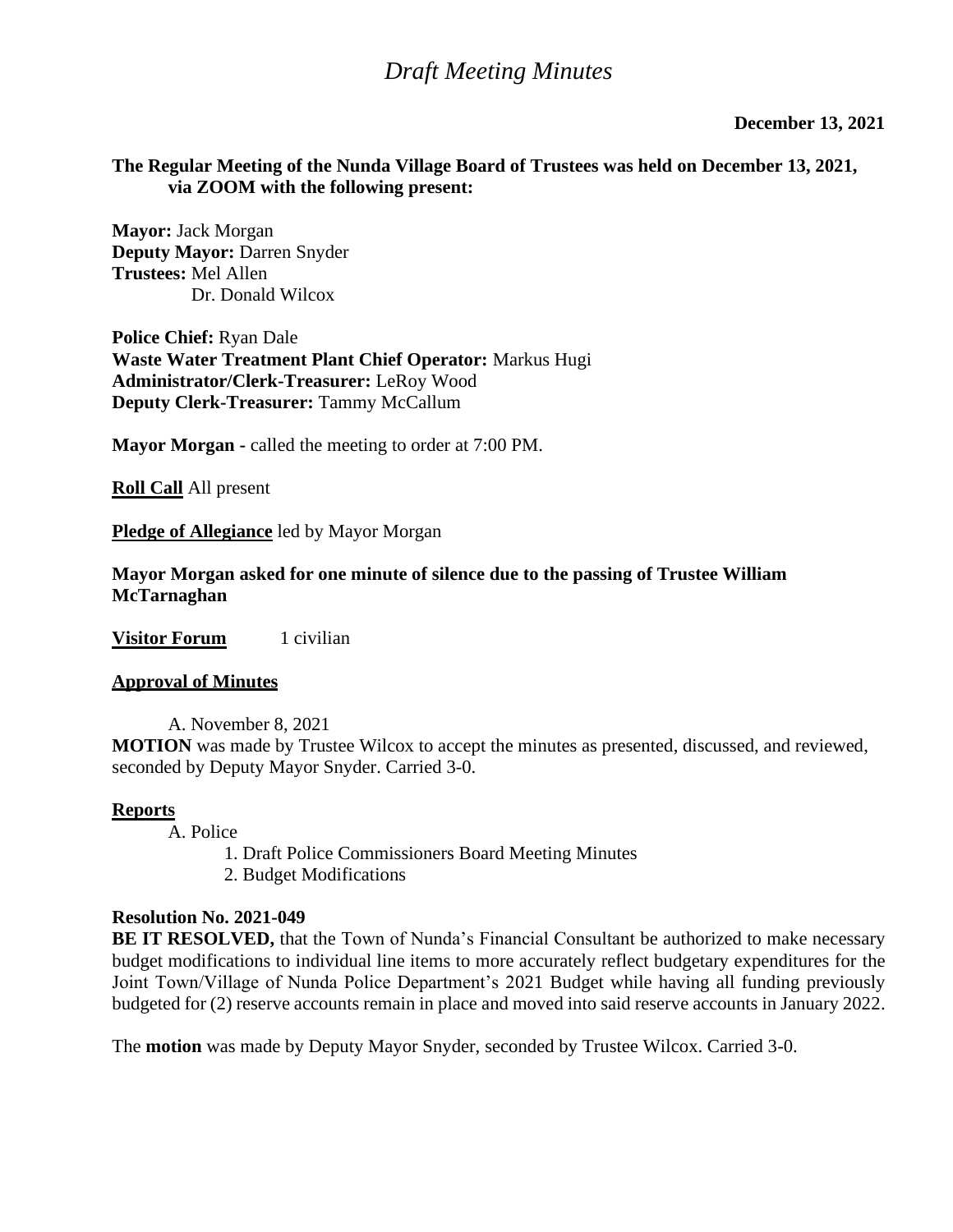### **December 13, 2021**

## **The Regular Meeting of the Nunda Village Board of Trustees was held on December 13, 2021, via ZOOM with the following present:**

**Mayor:** Jack Morgan **Deputy Mayor:** Darren Snyder **Trustees:** Mel Allen Dr. Donald Wilcox

**Police Chief:** Ryan Dale **Waste Water Treatment Plant Chief Operator:** Markus Hugi **Administrator/Clerk-Treasurer:** LeRoy Wood **Deputy Clerk-Treasurer:** Tammy McCallum

**Mayor Morgan -** called the meeting to order at 7:00 PM.

**Roll Call** All present

**Pledge of Allegiance** led by Mayor Morgan

**Mayor Morgan asked for one minute of silence due to the passing of Trustee William McTarnaghan**

**Visitor Forum** 1 civilian

#### **Approval of Minutes**

A. November 8, 2021 **MOTION** was made by Trustee Wilcox to accept the minutes as presented, discussed, and reviewed, seconded by Deputy Mayor Snyder. Carried 3-0.

#### **Reports**

A. Police

- 1. Draft Police Commissioners Board Meeting Minutes
- 2. Budget Modifications

### **Resolution No. 2021-049**

**BE IT RESOLVED,** that the Town of Nunda's Financial Consultant be authorized to make necessary budget modifications to individual line items to more accurately reflect budgetary expenditures for the Joint Town/Village of Nunda Police Department's 2021 Budget while having all funding previously budgeted for (2) reserve accounts remain in place and moved into said reserve accounts in January 2022.

The **motion** was made by Deputy Mayor Snyder, seconded by Trustee Wilcox. Carried 3-0.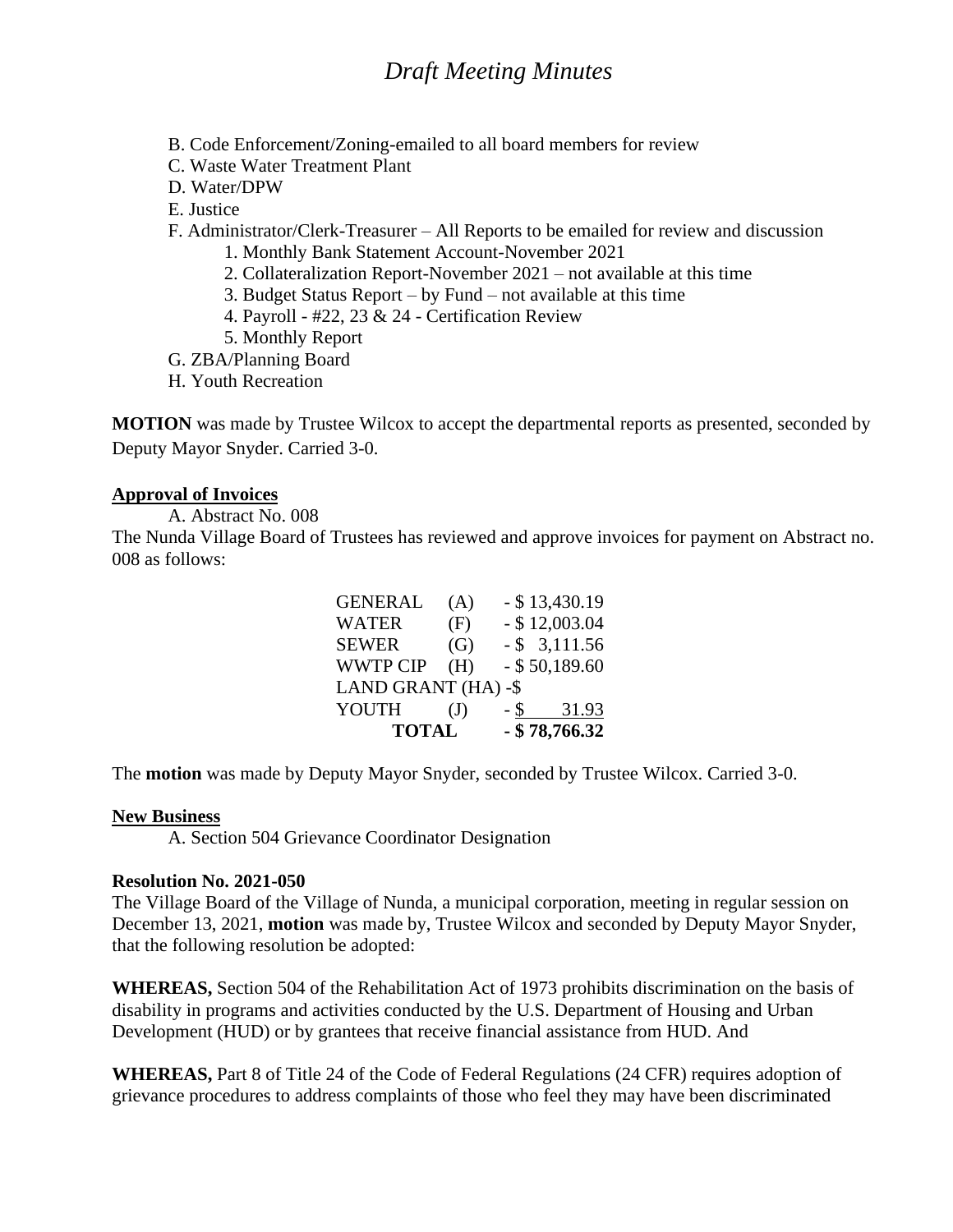- B. Code Enforcement/Zoning-emailed to all board members for review
- C. Waste Water Treatment Plant
- D. Water/DPW
- E. Justice

F. Administrator/Clerk-Treasurer – All Reports to be emailed for review and discussion

- 1. Monthly Bank Statement Account-November 2021
- 2. Collateralization Report-November 2021 not available at this time
- 3. Budget Status Report by Fund not available at this time
- 4. Payroll #22, 23 & 24 Certification Review
- 5. Monthly Report
- G. ZBA/Planning Board
- H. Youth Recreation

**MOTION** was made by Trustee Wilcox to accept the departmental reports as presented, seconded by Deputy Mayor Snyder. Carried 3-0.

## **Approval of Invoices**

A. Abstract No. 008

The Nunda Village Board of Trustees has reviewed and approve invoices for payment on Abstract no. 008 as follows:

| <b>TOTAL</b>        |              |        | $-$ \$78,766.32  |
|---------------------|--------------|--------|------------------|
| YOUTH               | $\mathrm{J}$ | $-$ \$ | 31.93            |
| LAND GRANT (HA) -\$ |              |        |                  |
| <b>WWTP CIP</b>     | (H)          |        | $-$ \$50,189.60  |
| <b>SEWER</b>        | (G)          |        | $-$ \$ 3,111.56  |
| <b>WATER</b>        | (F)          |        | $-$ \$ 12,003.04 |
| <b>GENERAL</b>      | (A)          |        | $-$ \$ 13,430.19 |

The **motion** was made by Deputy Mayor Snyder, seconded by Trustee Wilcox. Carried 3-0.

### **New Business**

A. Section 504 Grievance Coordinator Designation

## **Resolution No. 2021-050**

The Village Board of the Village of Nunda, a municipal corporation, meeting in regular session on December 13, 2021, **motion** was made by, Trustee Wilcox and seconded by Deputy Mayor Snyder, that the following resolution be adopted:

**WHEREAS,** Section 504 of the Rehabilitation Act of 1973 prohibits discrimination on the basis of disability in programs and activities conducted by the U.S. Department of Housing and Urban Development (HUD) or by grantees that receive financial assistance from HUD. And

**WHEREAS,** Part 8 of Title 24 of the Code of Federal Regulations (24 CFR) requires adoption of grievance procedures to address complaints of those who feel they may have been discriminated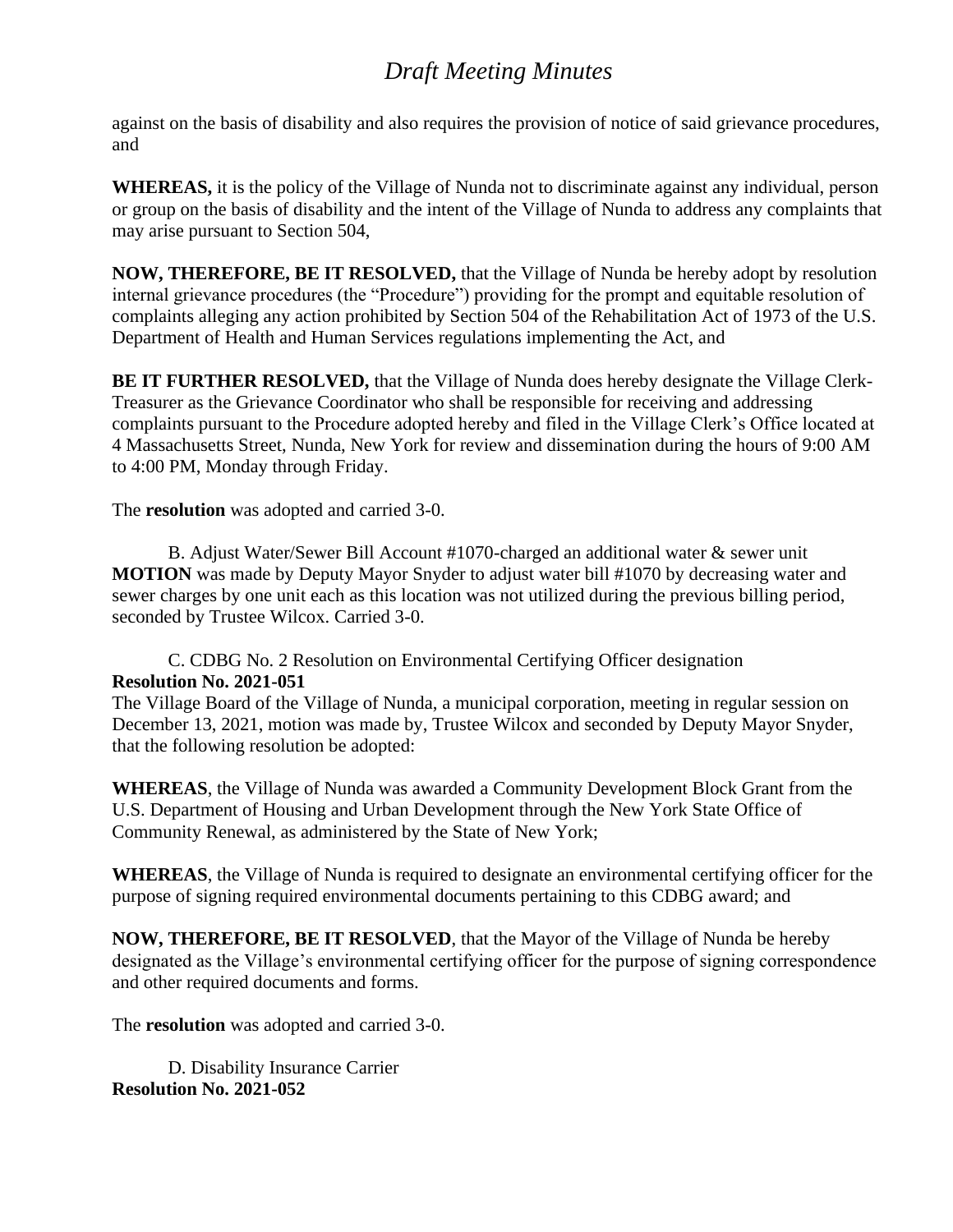against on the basis of disability and also requires the provision of notice of said grievance procedures, and

**WHEREAS,** it is the policy of the Village of Nunda not to discriminate against any individual, person or group on the basis of disability and the intent of the Village of Nunda to address any complaints that may arise pursuant to Section 504,

**NOW, THEREFORE, BE IT RESOLVED,** that the Village of Nunda be hereby adopt by resolution internal grievance procedures (the "Procedure") providing for the prompt and equitable resolution of complaints alleging any action prohibited by Section 504 of the Rehabilitation Act of 1973 of the U.S. Department of Health and Human Services regulations implementing the Act, and

**BE IT FURTHER RESOLVED,** that the Village of Nunda does hereby designate the Village Clerk-Treasurer as the Grievance Coordinator who shall be responsible for receiving and addressing complaints pursuant to the Procedure adopted hereby and filed in the Village Clerk's Office located at 4 Massachusetts Street, Nunda, New York for review and dissemination during the hours of 9:00 AM to 4:00 PM, Monday through Friday.

The **resolution** was adopted and carried 3-0.

B. Adjust Water/Sewer Bill Account #1070-charged an additional water & sewer unit **MOTION** was made by Deputy Mayor Snyder to adjust water bill #1070 by decreasing water and sewer charges by one unit each as this location was not utilized during the previous billing period, seconded by Trustee Wilcox. Carried 3-0.

C. CDBG No. 2 Resolution on Environmental Certifying Officer designation **Resolution No. 2021-051**

The Village Board of the Village of Nunda, a municipal corporation, meeting in regular session on December 13, 2021, motion was made by, Trustee Wilcox and seconded by Deputy Mayor Snyder, that the following resolution be adopted:

**WHEREAS**, the Village of Nunda was awarded a Community Development Block Grant from the U.S. Department of Housing and Urban Development through the New York State Office of Community Renewal, as administered by the State of New York;

**WHEREAS**, the Village of Nunda is required to designate an environmental certifying officer for the purpose of signing required environmental documents pertaining to this CDBG award; and

**NOW, THEREFORE, BE IT RESOLVED**, that the Mayor of the Village of Nunda be hereby designated as the Village's environmental certifying officer for the purpose of signing correspondence and other required documents and forms.

The **resolution** was adopted and carried 3-0.

D. Disability Insurance Carrier **Resolution No. 2021-052**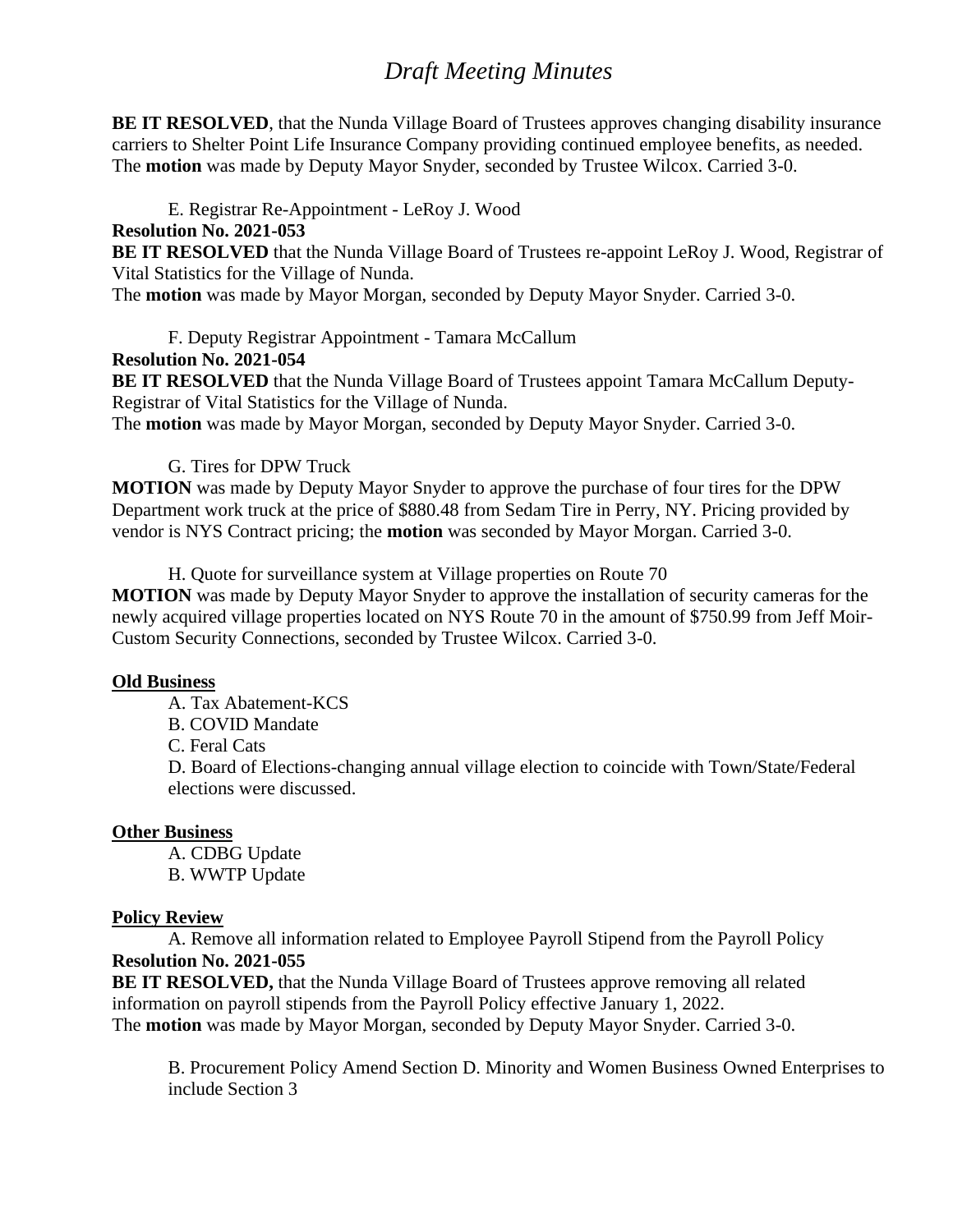**BE IT RESOLVED**, that the Nunda Village Board of Trustees approves changing disability insurance carriers to Shelter Point Life Insurance Company providing continued employee benefits, as needed. The **motion** was made by Deputy Mayor Snyder, seconded by Trustee Wilcox. Carried 3-0.

E. Registrar Re-Appointment - LeRoy J. Wood

### **Resolution No. 2021-053**

**BE IT RESOLVED** that the Nunda Village Board of Trustees re-appoint LeRoy J. Wood, Registrar of Vital Statistics for the Village of Nunda.

The **motion** was made by Mayor Morgan, seconded by Deputy Mayor Snyder. Carried 3-0.

F. Deputy Registrar Appointment - Tamara McCallum **Resolution No. 2021-054 BE IT RESOLVED** that the Nunda Village Board of Trustees appoint Tamara McCallum Deputy-Registrar of Vital Statistics for the Village of Nunda.

The **motion** was made by Mayor Morgan, seconded by Deputy Mayor Snyder. Carried 3-0.

## G. Tires for DPW Truck

**MOTION** was made by Deputy Mayor Snyder to approve the purchase of four tires for the DPW Department work truck at the price of \$880.48 from Sedam Tire in Perry, NY. Pricing provided by vendor is NYS Contract pricing; the **motion** was seconded by Mayor Morgan. Carried 3-0.

H. Quote for surveillance system at Village properties on Route 70

**MOTION** was made by Deputy Mayor Snyder to approve the installation of security cameras for the newly acquired village properties located on NYS Route 70 in the amount of \$750.99 from Jeff Moir-Custom Security Connections, seconded by Trustee Wilcox. Carried 3-0.

### **Old Business**

- A. Tax Abatement-KCS
- B. COVID Mandate

C. Feral Cats

D. Board of Elections-changing annual village election to coincide with Town/State/Federal elections were discussed.

### **Other Business**

A. CDBG Update B. WWTP Update

### **Policy Review**

A. Remove all information related to Employee Payroll Stipend from the Payroll Policy **Resolution No. 2021-055**

**BE IT RESOLVED,** that the Nunda Village Board of Trustees approve removing all related information on payroll stipends from the Payroll Policy effective January 1, 2022. The **motion** was made by Mayor Morgan, seconded by Deputy Mayor Snyder. Carried 3-0.

B. Procurement Policy Amend Section D. Minority and Women Business Owned Enterprises to include Section 3